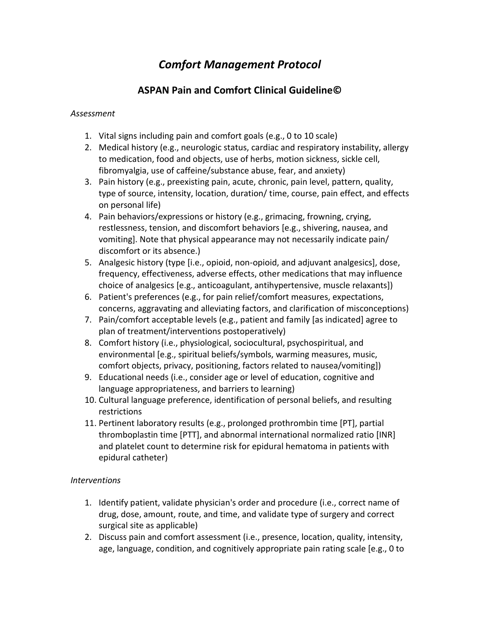# *Comfort Management Protocol*

# **ASPAN Pain and Comfort Clinical Guideline©**

#### *Assessment*

- 1. Vital signs including pain and comfort goals (e.g., 0 to 10 scale)
- 2. Medical history (e.g., neurologic status, cardiac and respiratory instability, allergy to medication, food and objects, use of herbs, motion sickness, sickle cell, fibromyalgia, use of caffeine/substance abuse, fear, and anxiety)
- 3. Pain history (e.g., preexisting pain, acute, chronic, pain level, pattern, quality, type of source, intensity, location, duration/ time, course, pain effect, and effects on personal life)
- 4. Pain behaviors/expressions or history (e.g., grimacing, frowning, crying, restlessness, tension, and discomfort behaviors [e.g., shivering, nausea, and vomiting]. Note that physical appearance may not necessarily indicate pain/ discomfort or its absence.)
- 5. Analgesic history (type [i.e., opioid, non-opioid, and adjuvant analgesics], dose, frequency, effectiveness, adverse effects, other medications that may influence choice of analgesics [e.g., anticoagulant, antihypertensive, muscle relaxants])
- 6. Patient's preferences (e.g., for pain relief/comfort measures, expectations, concerns, aggravating and alleviating factors, and clarification of misconceptions)
- 7. Pain/comfort acceptable levels (e.g., patient and family [as indicated] agree to plan of treatment/interventions postoperatively)
- 8. Comfort history (i.e., physiological, sociocultural, psychospiritual, and environmental [e.g., spiritual beliefs/symbols, warming measures, music, comfort objects, privacy, positioning, factors related to nausea/vomiting])
- 9. Educational needs (i.e., consider age or level of education, cognitive and language appropriateness, and barriers to learning)
- 10. Cultural language preference, identification of personal beliefs, and resulting restrictions
- 11. Pertinent laboratory results (e.g., prolonged prothrombin time [PT], partial thromboplastin time [PTT], and abnormal international normalized ratio [INR] and platelet count to determine risk for epidural hematoma in patients with epidural catheter)

#### *Interventions*

- 1. Identify patient, validate physician's order and procedure (i.e., correct name of drug, dose, amount, route, and time, and validate type of surgery and correct surgical site as applicable)
- 2. Discuss pain and comfort assessment (i.e., presence, location, quality, intensity, age, language, condition, and cognitively appropriate pain rating scale [e.g., 0 to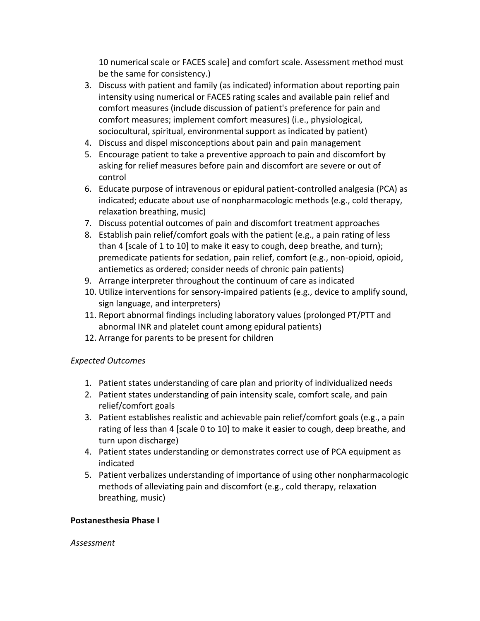10 numerical scale or FACES scale] and comfort scale. Assessment method must be the same for consistency.)

- 3. Discuss with patient and family (as indicated) information about reporting pain intensity using numerical or FACES rating scales and available pain relief and comfort measures (include discussion of patient's preference for pain and comfort measures; implement comfort measures) (i.e., physiological, sociocultural, spiritual, environmental support as indicated by patient)
- 4. Discuss and dispel misconceptions about pain and pain management
- 5. Encourage patient to take a preventive approach to pain and discomfort by asking for relief measures before pain and discomfort are severe or out of control
- 6. Educate purpose of intravenous or epidural patient-controlled analgesia (PCA) as indicated; educate about use of nonpharmacologic methods (e.g., cold therapy, relaxation breathing, music)
- 7. Discuss potential outcomes of pain and discomfort treatment approaches
- 8. Establish pain relief/comfort goals with the patient (e.g., a pain rating of less than 4 [scale of 1 to 10] to make it easy to cough, deep breathe, and turn); premedicate patients for sedation, pain relief, comfort (e.g., non-opioid, opioid, antiemetics as ordered; consider needs of chronic pain patients)
- 9. Arrange interpreter throughout the continuum of care as indicated
- 10. Utilize interventions for sensory-impaired patients (e.g., device to amplify sound, sign language, and interpreters)
- 11. Report abnormal findings including laboratory values (prolonged PT/PTT and abnormal INR and platelet count among epidural patients)
- 12. Arrange for parents to be present for children

# *Expected Outcomes*

- 1. Patient states understanding of care plan and priority of individualized needs
- 2. Patient states understanding of pain intensity scale, comfort scale, and pain relief/comfort goals
- 3. Patient establishes realistic and achievable pain relief/comfort goals (e.g., a pain rating of less than 4 [scale 0 to 10] to make it easier to cough, deep breathe, and turn upon discharge)
- 4. Patient states understanding or demonstrates correct use of PCA equipment as indicated
- 5. Patient verbalizes understanding of importance of using other nonpharmacologic methods of alleviating pain and discomfort (e.g., cold therapy, relaxation breathing, music)

#### **Postanesthesia Phase I**

#### *Assessment*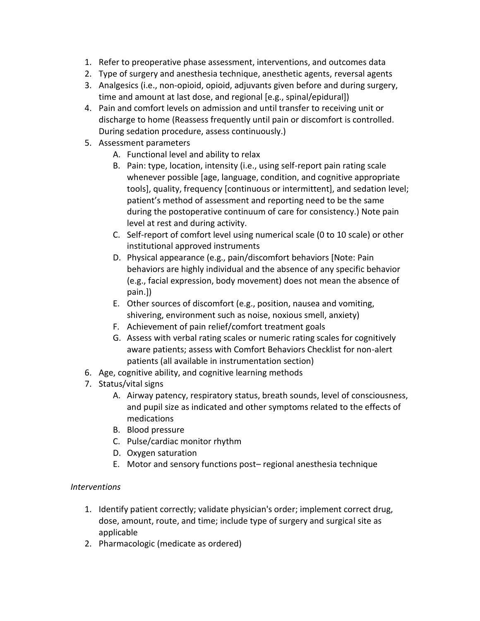- 1. Refer to preoperative phase assessment, interventions, and outcomes data
- 2. Type of surgery and anesthesia technique, anesthetic agents, reversal agents
- 3. Analgesics (i.e., non-opioid, opioid, adjuvants given before and during surgery, time and amount at last dose, and regional [e.g., spinal/epidural])
- 4. Pain and comfort levels on admission and until transfer to receiving unit or discharge to home (Reassess frequently until pain or discomfort is controlled. During sedation procedure, assess continuously.)
- 5. Assessment parameters
	- A. Functional level and ability to relax
	- B. Pain: type, location, intensity (i.e., using self-report pain rating scale whenever possible [age, language, condition, and cognitive appropriate tools], quality, frequency [continuous or intermittent], and sedation level; patient's method of assessment and reporting need to be the same during the postoperative continuum of care for consistency.) Note pain level at rest and during activity.
	- C. Self-report of comfort level using numerical scale (0 to 10 scale) or other institutional approved instruments
	- D. Physical appearance (e.g., pain/discomfort behaviors [Note: Pain behaviors are highly individual and the absence of any specific behavior (e.g., facial expression, body movement) does not mean the absence of pain.])
	- E. Other sources of discomfort (e.g., position, nausea and vomiting, shivering, environment such as noise, noxious smell, anxiety)
	- F. Achievement of pain relief/comfort treatment goals
	- G. Assess with verbal rating scales or numeric rating scales for cognitively aware patients; assess with Comfort Behaviors Checklist for non-alert patients (all available in instrumentation section)
- 6. Age, cognitive ability, and cognitive learning methods
- 7. Status/vital signs
	- A. Airway patency, respiratory status, breath sounds, level of consciousness, and pupil size as indicated and other symptoms related to the effects of medications
	- B. Blood pressure
	- C. Pulse/cardiac monitor rhythm
	- D. Oxygen saturation
	- E. Motor and sensory functions post– regional anesthesia technique

#### *Interventions*

- 1. Identify patient correctly; validate physician's order; implement correct drug, dose, amount, route, and time; include type of surgery and surgical site as applicable
- 2. Pharmacologic (medicate as ordered)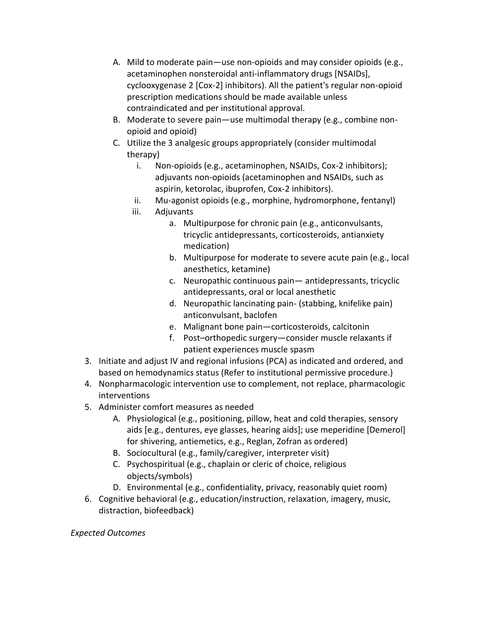- A. Mild to moderate pain—use non-opioids and may consider opioids (e.g., acetaminophen nonsteroidal anti-inflammatory drugs [NSAIDs], cyclooxygenase 2 [Cox-2] inhibitors). All the patient's regular non-opioid prescription medications should be made available unless contraindicated and per institutional approval.
- B. Moderate to severe pain—use multimodal therapy (e.g., combine nonopioid and opioid)
- C. Utilize the 3 analgesic groups appropriately (consider multimodal therapy)
	- i. Non-opioids (e.g., acetaminophen, NSAIDs, Cox-2 inhibitors); adjuvants non-opioids (acetaminophen and NSAIDs, such as aspirin, ketorolac, ibuprofen, Cox-2 inhibitors).
	- ii. Mu-agonist opioids (e.g., morphine, hydromorphone, fentanyl)
	- iii. Adjuvants
		- a. Multipurpose for chronic pain (e.g., anticonvulsants, tricyclic antidepressants, corticosteroids, antianxiety medication)
		- b. Multipurpose for moderate to severe acute pain (e.g., local anesthetics, ketamine)
		- c. Neuropathic continuous pain— antidepressants, tricyclic antidepressants, oral or local anesthetic
		- d. Neuropathic lancinating pain- (stabbing, knifelike pain) anticonvulsant, baclofen
		- e. Malignant bone pain—corticosteroids, calcitonin
		- f. Post–orthopedic surgery—consider muscle relaxants if patient experiences muscle spasm
- 3. Initiate and adjust IV and regional infusions (PCA) as indicated and ordered, and based on hemodynamics status (Refer to institutional permissive procedure.)
- 4. Nonpharmacologic intervention use to complement, not replace, pharmacologic interventions
- 5. Administer comfort measures as needed
	- A. Physiological (e.g., positioning, pillow, heat and cold therapies, sensory aids [e.g., dentures, eye glasses, hearing aids]; use meperidine [Demerol] for shivering, antiemetics, e.g., Reglan, Zofran as ordered)
	- B. Sociocultural (e.g., family/caregiver, interpreter visit)
	- C. Psychospiritual (e.g., chaplain or cleric of choice, religious objects/symbols)
	- D. Environmental (e.g., confidentiality, privacy, reasonably quiet room)
- 6. Cognitive behavioral (e.g., education/instruction, relaxation, imagery, music, distraction, biofeedback)

#### *Expected Outcomes*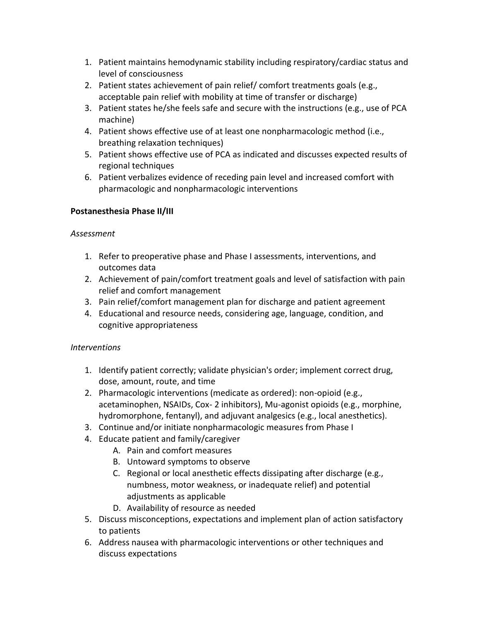- 1. Patient maintains hemodynamic stability including respiratory/cardiac status and level of consciousness
- 2. Patient states achievement of pain relief/ comfort treatments goals (e.g., acceptable pain relief with mobility at time of transfer or discharge)
- 3. Patient states he/she feels safe and secure with the instructions (e.g., use of PCA machine)
- 4. Patient shows effective use of at least one nonpharmacologic method (i.e., breathing relaxation techniques)
- 5. Patient shows effective use of PCA as indicated and discusses expected results of regional techniques
- 6. Patient verbalizes evidence of receding pain level and increased comfort with pharmacologic and nonpharmacologic interventions

### **Postanesthesia Phase II/III**

#### *Assessment*

- 1. Refer to preoperative phase and Phase I assessments, interventions, and outcomes data
- 2. Achievement of pain/comfort treatment goals and level of satisfaction with pain relief and comfort management
- 3. Pain relief/comfort management plan for discharge and patient agreement
- 4. Educational and resource needs, considering age, language, condition, and cognitive appropriateness

# *Interventions*

- 1. Identify patient correctly; validate physician's order; implement correct drug, dose, amount, route, and time
- 2. Pharmacologic interventions (medicate as ordered): non-opioid (e.g., acetaminophen, NSAIDs, Cox- 2 inhibitors), Mu-agonist opioids (e.g., morphine, hydromorphone, fentanyl), and adjuvant analgesics (e.g., local anesthetics).
- 3. Continue and/or initiate nonpharmacologic measures from Phase I
- 4. Educate patient and family/caregiver
	- A. Pain and comfort measures
	- B. Untoward symptoms to observe
	- C. Regional or local anesthetic effects dissipating after discharge (e.g., numbness, motor weakness, or inadequate relief) and potential adjustments as applicable
	- D. Availability of resource as needed
- 5. Discuss misconceptions, expectations and implement plan of action satisfactory to patients
- 6. Address nausea with pharmacologic interventions or other techniques and discuss expectations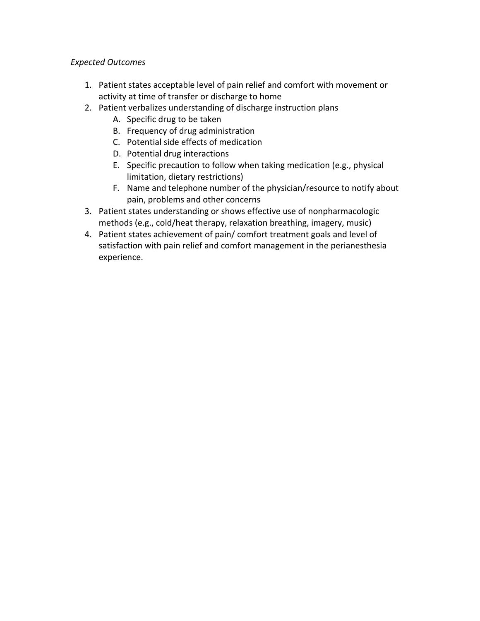### *Expected Outcomes*

- 1. Patient states acceptable level of pain relief and comfort with movement or activity at time of transfer or discharge to home
- 2. Patient verbalizes understanding of discharge instruction plans
	- A. Specific drug to be taken
	- B. Frequency of drug administration
	- C. Potential side effects of medication
	- D. Potential drug interactions
	- E. Specific precaution to follow when taking medication (e.g., physical limitation, dietary restrictions)
	- F. Name and telephone number of the physician/resource to notify about pain, problems and other concerns
- 3. Patient states understanding or shows effective use of nonpharmacologic methods (e.g., cold/heat therapy, relaxation breathing, imagery, music)
- 4. Patient states achievement of pain/ comfort treatment goals and level of satisfaction with pain relief and comfort management in the perianesthesia experience.